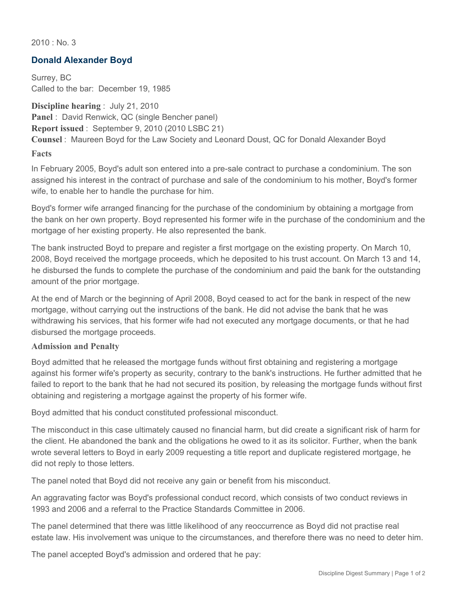$2010 \cdot$  No. 3

## **Donald Alexander Boyd**

Surrey, BC Called to the bar: December 19, 1985

**Discipline hearing** : July 21, 2010 **Panel** : David Renwick, QC (single Bencher panel) **Report issued** : September 9, 2010 (2010 LSBC 21) **Counsel** : Maureen Boyd for the Law Society and Leonard Doust, QC for Donald Alexander Boyd

**Facts**

In February 2005, Boyd's adult son entered into a pre-sale contract to purchase a condominium. The son assigned his interest in the contract of purchase and sale of the condominium to his mother, Boyd's former wife, to enable her to handle the purchase for him.

Boyd's former wife arranged financing for the purchase of the condominium by obtaining a mortgage from the bank on her own property. Boyd represented his former wife in the purchase of the condominium and the mortgage of her existing property. He also represented the bank.

The bank instructed Boyd to prepare and register a first mortgage on the existing property. On March 10, 2008, Boyd received the mortgage proceeds, which he deposited to his trust account. On March 13 and 14, he disbursed the funds to complete the purchase of the condominium and paid the bank for the outstanding amount of the prior mortgage.

At the end of March or the beginning of April 2008, Boyd ceased to act for the bank in respect of the new mortgage, without carrying out the instructions of the bank. He did not advise the bank that he was withdrawing his services, that his former wife had not executed any mortgage documents, or that he had disbursed the mortgage proceeds.

## **Admission and Penalty**

Boyd admitted that he released the mortgage funds without first obtaining and registering a mortgage against his former wife's property as security, contrary to the bank's instructions. He further admitted that he failed to report to the bank that he had not secured its position, by releasing the mortgage funds without first obtaining and registering a mortgage against the property of his former wife.

Boyd admitted that his conduct constituted professional misconduct.

The misconduct in this case ultimately caused no financial harm, but did create a significant risk of harm for the client. He abandoned the bank and the obligations he owed to it as its solicitor. Further, when the bank wrote several letters to Boyd in early 2009 requesting a title report and duplicate registered mortgage, he did not reply to those letters.

The panel noted that Boyd did not receive any gain or benefit from his misconduct.

An aggravating factor was Boyd's professional conduct record, which consists of two conduct reviews in 1993 and 2006 and a referral to the Practice Standards Committee in 2006.

The panel determined that there was little likelihood of any reoccurrence as Boyd did not practise real estate law. His involvement was unique to the circumstances, and therefore there was no need to deter him.

The panel accepted Boyd's admission and ordered that he pay: